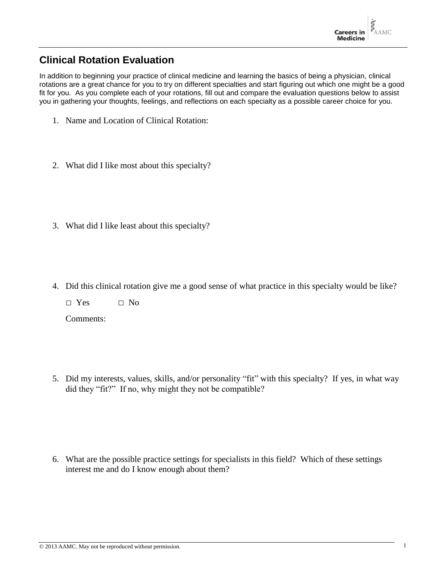## **Clinical Rotation Evaluation**

In addition to beginning your practice of clinical medicine and learning the basics of being a physician, clinical rotations are a great chance for you to try on different specialties and start figuring out which one might be a good fit for you. As you complete each of your rotations, fill out and compare the evaluation questions below to assist you in gathering your thoughts, feelings, and reflections on each specialty as a possible career choice for you.

- 1. Name and Location of Clinical Rotation:
- 2. What did I like most about this specialty?
- 3. What did I like least about this specialty?
- 4. Did this clinical rotation give me a good sense of what practice in this specialty would be like?
	- □ Yes □ No

Comments:

5. Did my interests, values, skills, and/or personality "fit" with this specialty? If yes, in what way did they "fit?" If no, why might they not be compatible?

6. What are the possible practice settings for specialists in this field? Which of these settings interest me and do I know enough about them?